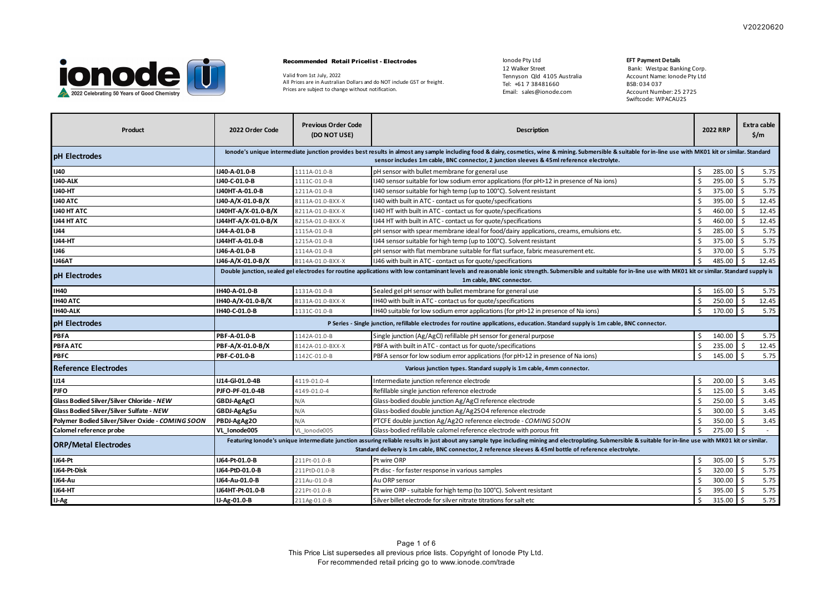

#### Recommended Retail Pricelist - Electrodes

Valid from 1st July, 2022 All Prices are in Australian Dollars and do NOT include GST or freight. Prices are subject to change without notification.

Ionode Pty Ltd 12 Walker Street Tennyson Qld 4105 Australia Tel: +61 7 38481660 Email: sales@ionode.com

## **EFT Payment Details**

| Product                                          | 2022 Order Code     | <b>Previous Order Code</b><br>(DO NOT USE)                                                                                                                                                                                                                                                                                 | Description                                                                                                                                                                                                                                                                                               |     | <b>2022 RRP</b> |         | Extra cable<br>$\frac{2}{3}$ /m |
|--------------------------------------------------|---------------------|----------------------------------------------------------------------------------------------------------------------------------------------------------------------------------------------------------------------------------------------------------------------------------------------------------------------------|-----------------------------------------------------------------------------------------------------------------------------------------------------------------------------------------------------------------------------------------------------------------------------------------------------------|-----|-----------------|---------|---------------------------------|
| pH Electrodes                                    |                     |                                                                                                                                                                                                                                                                                                                            | lonode's unique intermediate junction provides best results in almost any sample including food & dairy, cosmetics, wine & mining. Submersible & suitable for in-line use with MK01 kit or similar. Standard<br>sensor includes 1m cable, BNC connector, 2 junction sleeves & 45ml reference electrolyte. |     |                 |         |                                 |
| <b>IJ40</b>                                      | IJ40-A-01.0-B       | 1111A-01.0-B                                                                                                                                                                                                                                                                                                               | pH sensor with bullet membrane for general use                                                                                                                                                                                                                                                            | \$  | 285.00          | \$      | 5.75                            |
| IJ40-ALK                                         | IJ40-C-01.0-B       | 1111C-01.0-B                                                                                                                                                                                                                                                                                                               | (140 sensor suitable for low sodium error applications (for pH>12 in presence of Na ions)                                                                                                                                                                                                                 | Ŝ.  | 295.00          | Ŝ.      | 5.75                            |
| <b>IJ40-HT</b>                                   | IJ40HT-A-01.0-B     | 1211A-01.0-B                                                                                                                                                                                                                                                                                                               | IJ40 sensor suitable for high temp (up to 100°C). Solvent resistant                                                                                                                                                                                                                                       | Ŝ.  | 375.00          | Ŝ.      | 5.75                            |
| <b>IJ40 ATC</b>                                  | IJ40-A/X-01.0-B/X   | 8111A-01.0-BXX-X                                                                                                                                                                                                                                                                                                           | IJ40 with built in ATC - contact us for quote/specifications                                                                                                                                                                                                                                              | Ŝ.  | 395.00          | Ŝ.      | 12.45                           |
| <b>IJ40 HT ATC</b>                               | IJ40HT-A/X-01.0-B/X | 8211A-01.0-BXX-X                                                                                                                                                                                                                                                                                                           | IJ40 HT with built in ATC - contact us for quote/specifications                                                                                                                                                                                                                                           | Š.  | 460.00          |         | 12.45                           |
| <b>IJ44 HT ATC</b>                               | IJ44HT-A/X-01.0-B/X | 8215A-01.0-BXX-X                                                                                                                                                                                                                                                                                                           | 1J44 HT with built in ATC - contact us for quote/specifications                                                                                                                                                                                                                                           | Ŝ   | 460.00          |         | 12.45                           |
| <b>IJ44</b>                                      | IJ44-A-01.0-B       | 1115A-01.0-B                                                                                                                                                                                                                                                                                                               | pH sensor with spear membrane ideal for food/dairy applications, creams, emulsions etc.                                                                                                                                                                                                                   | Ś   | 285.00          | ς       | 5.75                            |
| <b>IJ44-HT</b>                                   | J44HT-A-01.0-B      | 1215A-01.0-B                                                                                                                                                                                                                                                                                                               | IJ44 sensor suitable for high temp (up to 100°C). Solvent resistant                                                                                                                                                                                                                                       | Ŝ   | 375.00          | Ŝ.      | 5.75                            |
| <b>IJ46</b>                                      | IJ46-A-01.0-B       | 1114A-01.0-B                                                                                                                                                                                                                                                                                                               | pH sensor with flat membrane suitable for flat surface, fabric measurement etc.                                                                                                                                                                                                                           | Š.  | 370.00          | Ŝ.      | 5.75                            |
| IJ46AT                                           | IJ46-A/X-01.0-B/X   | 8114A-01.0-BXX-X                                                                                                                                                                                                                                                                                                           | IJ46 with built in ATC - contact us for quote/specifications                                                                                                                                                                                                                                              | Ŝ.  | 485.00          | $\zeta$ | 12.45                           |
| pH Electrodes                                    |                     | Double junction, sealed gel electrodes for routine applications with low contaminant levels and reasonable ionic strength. Submersible and suitable for in-line use with MK01 kit or similar. Standard supply is<br>1m cable, BNC connector.                                                                               |                                                                                                                                                                                                                                                                                                           |     |                 |         |                                 |
| <b>IH40</b>                                      | IH40-A-01.0-B       | 1131A-01.0-B                                                                                                                                                                                                                                                                                                               | Sealed gel pH sensor with bullet membrane for general use                                                                                                                                                                                                                                                 | -\$ | 165.00          | \$      | 5.75                            |
| IH40 ATC                                         | IH40-A/X-01.0-B/X   | 8131A-01.0-BXX-X                                                                                                                                                                                                                                                                                                           | IH40 with built in ATC - contact us for quote/specifications                                                                                                                                                                                                                                              | Ŝ   | 250.00          | Ŝ.      | 12.45                           |
| IH40-ALK                                         | IH40-C-01.0-B       | 1131C-01.0-B                                                                                                                                                                                                                                                                                                               | (IH40 suitable for low sodium error applications (for pH>12 in presence of Na ions)                                                                                                                                                                                                                       | \$  | 170.00          | -\$     | 5.75                            |
| pH Electrodes                                    |                     |                                                                                                                                                                                                                                                                                                                            | P Series - Single junction, refillable electrodes for routine applications, education. Standard supply is 1m cable, BNC connector.                                                                                                                                                                        |     |                 |         |                                 |
| PBFA                                             | PBF-A-01.0-B        | 1142A-01.0-B                                                                                                                                                                                                                                                                                                               | Single junction (Ag/AgCl) refillable pH sensor for general purpose                                                                                                                                                                                                                                        | Ŝ.  | 140.00          | \$      | 5.75                            |
| PBFA ATC                                         | PBF-A/X-01.0-B/X    | 8142A-01.0-BXX-X                                                                                                                                                                                                                                                                                                           | PBFA with built in ATC - contact us for quote/specifications                                                                                                                                                                                                                                              | S.  | 235.00          | \$      | 12.45                           |
| <b>PBFC</b>                                      | PBF-C-01.0-B        | 1142C-01.0-B                                                                                                                                                                                                                                                                                                               | PBFA sensor for low sodium error applications (for pH>12 in presence of Na ions)                                                                                                                                                                                                                          | Ŝ.  | 145.00          | Ŝ.      | 5.75                            |
| <b>Reference Electrodes</b>                      |                     |                                                                                                                                                                                                                                                                                                                            | Various junction types. Standard supply is 1m cable, 4mm connector.                                                                                                                                                                                                                                       |     |                 |         |                                 |
| 1J14                                             | IJ14-GI-01.0-4B     | 4119-01.0-4                                                                                                                                                                                                                                                                                                                | Intermediate junction reference electrode                                                                                                                                                                                                                                                                 | S.  | $200.00$ \$     |         | 3.45                            |
| <b>PJFO</b>                                      | PJFO-PF-01.0-4B     | 4149-01.0-4                                                                                                                                                                                                                                                                                                                | Refillable single junction reference electrode                                                                                                                                                                                                                                                            | Š.  | 125.00          | Ŝ.      | 3.45                            |
| Glass Bodied Silver/Silver Chloride - NEW        | GBDJ-AgAgCl         | N/A                                                                                                                                                                                                                                                                                                                        | Glass-bodied double junction Ag/AgCl reference electrode                                                                                                                                                                                                                                                  | Ŝ   | 250.00          | Ŝ.      | 3.45                            |
| <b>Glass Bodied Silver/Silver Sulfate - NEW</b>  | GBDJ-AgAgSu         | N/A                                                                                                                                                                                                                                                                                                                        | Glass-bodied double junction Ag/Ag2SO4 reference electrode                                                                                                                                                                                                                                                | S.  | 300.00          | Ŝ.      | 3.45                            |
| Polymer Bodied Silver/Silver Oxide - COMING SOON | PBDJ-AgAg2O         | N/A                                                                                                                                                                                                                                                                                                                        | PTCFE double junction Ag/Ag2O reference electrode - COMING SOON                                                                                                                                                                                                                                           | Ŝ   | 350.00          | Ŝ.      | 3.45                            |
| Calomel reference probe                          | VL Ionode005        | VL lonode005                                                                                                                                                                                                                                                                                                               | Glass-bodied refillable calomel reference electrode with porous frit                                                                                                                                                                                                                                      | Ŝ.  | 275.00          | Ŝ.      | $\sim$                          |
| <b>ORP/Metal Electrodes</b>                      |                     | Featuring lonode's unique intermediate junction assuring reliable results in just about any sample type including mining and electroplating. Submersible & suitable for in-line use with MK01 kit or similar.<br>Standard delivery is 1m cable, BNC connector, 2 reference sleeves & 45ml bottle of reference electrolyte. |                                                                                                                                                                                                                                                                                                           |     |                 |         |                                 |
| <b>IJ64-Pt</b>                                   | J64-Pt-01.0-B       | 211Pt-01.0-B                                                                                                                                                                                                                                                                                                               | Pt wire ORP                                                                                                                                                                                                                                                                                               | Ŝ.  | 305.00          | Ŝ.      | 5.75                            |
| IJ64-Pt-Disk                                     | J64-PtD-01.0-B      | 211PtD-01.0-B                                                                                                                                                                                                                                                                                                              | Pt disc - for faster response in various samples                                                                                                                                                                                                                                                          | Ŝ.  | $320.00$ \$     |         | 5.75                            |
| IJ64-Au                                          | IJ64-Au-01.0-B      | 211Au-01.0-B                                                                                                                                                                                                                                                                                                               | Au ORP sensor                                                                                                                                                                                                                                                                                             | Ŝ   | 300.00          | Ŝ.      | 5.75                            |
| <b>IJ64-HT</b>                                   | IJ64HT-Pt-01.0-B    | 221Pt-01.0-B                                                                                                                                                                                                                                                                                                               | Pt wire ORP - suitable for high temp (to 100°C). Solvent resistant                                                                                                                                                                                                                                        | Š.  | 395.00          | -\$     | 5.75                            |
| IJ-Ag                                            | IJ-Ag-01.0-B        | 211Ag-01.0-B                                                                                                                                                                                                                                                                                                               | Silver billet electrode for silver nitrate titrations for salt etc                                                                                                                                                                                                                                        | Ŝ.  | 315.00          | Ŝ.      | 5.75                            |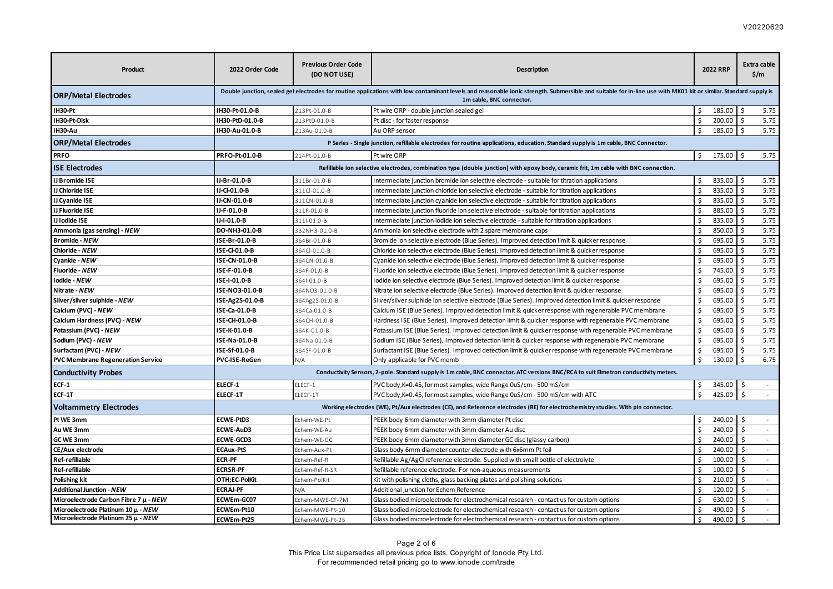| Product                                  | 2022 Order Code  | <b>Previous Order Code</b><br>(DO NOT USE)                                                                                                                                                                                                   | Description                                                                                                                          |    | <b>2022 RRP</b> |               | <b>Extra cable</b><br>\$/m  |
|------------------------------------------|------------------|----------------------------------------------------------------------------------------------------------------------------------------------------------------------------------------------------------------------------------------------|--------------------------------------------------------------------------------------------------------------------------------------|----|-----------------|---------------|-----------------------------|
| <b>ORP/Metal Electrodes</b>              |                  | Double junction, sealed gel electrodes for routine applications with low contaminant levels and reasonable ionic strength. Submersible and suitable for in-line use with MK01 kit or similar. Standard supply is<br>1m cable, BNC connector. |                                                                                                                                      |    |                 |               |                             |
| IH30-Pt                                  | IH30-Pt-01.0-B   | 213Pt-01.0-B                                                                                                                                                                                                                                 | Pt wire ORP - double junction sealed gel                                                                                             | \$ | 185.00          | - Ś           | 5.75                        |
| IH30-Pt-Disk                             | IH30-PtD-01.0-B  | 213PtD-01.0-B                                                                                                                                                                                                                                | Pt disc - for faster response                                                                                                        | Ś  | 200.00          |               | 5.75                        |
| IH30-Au                                  | IH30-Au-01.0-B   | 213Au-01.0-B                                                                                                                                                                                                                                 | Au ORP sensor                                                                                                                        | \$ | 185.00          | Ŝ.            | 5.75                        |
| <b>ORP/Metal Electrodes</b>              |                  |                                                                                                                                                                                                                                              | P Series - Single junction, refillable electrodes for routine applications, education. Standard supply is 1m cable, BNC Connector.   |    |                 |               |                             |
| <b>PRFO</b>                              | PRFO-Pt-01.0-B   | 214Pt-01.0-B                                                                                                                                                                                                                                 | Pt wire ORP                                                                                                                          | \$ | 175.00          | Ŝ.            | 5.75                        |
| <b>ISE Electrodes</b>                    |                  |                                                                                                                                                                                                                                              | Refillable ion selective electrodes, combination type (double junction) with epoxy body, ceramic frit, 1m cable with BNC connection. |    |                 |               |                             |
| <b>IJ Bromide ISE</b>                    | IJ-Br-01.0-B     | 311Br-01.0-B                                                                                                                                                                                                                                 | Intermediate junction bromide ion selective electrode - suitable for titration applications                                          | \$ | 835.00          |               | 5.75                        |
| IJ Chloride ISE                          | IJ-Cl-01.0-B     | 311Cl-01.0-B                                                                                                                                                                                                                                 | Intermediate junction chloride ion selective electrode - suitable for titration applications                                         | \$ | 835.00          | Ŝ.            | 5.75                        |
| IJ Cyanide ISE                           | IJ-CN-01.0-B     | 311CN-01.0-B                                                                                                                                                                                                                                 | Intermediate junction cyanide ion selective electrode - suitable for titration applications                                          | \$ | 835.00          | Ŝ.            | 5.75                        |
| IJ Fluoride ISE                          | IJ-F-01.0-B      | 311F-01.0-B                                                                                                                                                                                                                                  | Intermediate junction fluoride ion selective electrode - suitable for titration applications                                         | \$ | 885.00          | Ŝ.            | 5.75                        |
| IJ Iodide ISE                            | IJ-I-01.0-B      | 311-01.0-B                                                                                                                                                                                                                                   | Intermediate junction iodide ion selective electrode - suitable for titration applications                                           | \$ | 835.00          | Ŝ.            | 5.75                        |
| Ammonia (gas sensing) - NEW              | DO-NH3-01.0-B    | 332NH3-01.0-B                                                                                                                                                                                                                                | Ammonia ion selective electrode with 2 spare membrane caps                                                                           | \$ | 850.00          | Ś.            | 5.75                        |
| <b>Bromide - NEW</b>                     | ISE-Br-01.0-B    | 364Br-01.0-B                                                                                                                                                                                                                                 | Bromide ion selective electrode (Blue Series). Improved detection limit & quicker response                                           | Š. | 695.00          |               | 5.75                        |
| Chloride - NEW                           | ISE-CI-01.0-B    | 364Cl-01.0-B                                                                                                                                                                                                                                 | Chloride ion selective electrode (Blue Series). Improved detection limit & quicker response                                          | \$ | 695.00          |               | 5.75                        |
| Cyanide - NEW                            | ISE-CN-01.0-B    | 364CN-01.0-B                                                                                                                                                                                                                                 | Cyanide ion selective electrode (Blue Series). Improved detection limit & quicker response                                           | \$ | 695.00          | Ŝ.            | 5.75                        |
| Fluoride - NEW                           | ISE-F-01.0-B     | 364F-01.0-B                                                                                                                                                                                                                                  | Fluoride ion selective electrode (Blue Series). Improved detection limit & quicker response                                          | Ś. | 745.00          | Ŝ.            | 5.75                        |
| Iodide - NEW                             | ISE-I-01.0-B     | 364I-01.0-B                                                                                                                                                                                                                                  | Iodide ion selective electrode (Blue Series). Improved detection limit & quicker response                                            | \$ | 695.00          | Ŝ.            | 5.75                        |
| Nitrate - NEW                            | ISE-NO3-01.0-B   | 364NO3-01.0-B                                                                                                                                                                                                                                | Nitrate ion selective electrode (Blue Series). Improved detection limit & quicker response                                           | \$ | 695.00          |               | 5.75                        |
| Silver/silver sulphide - NEW             | ISE-Ag2S-01.0-B  | 364Ag2S-01.0-B                                                                                                                                                                                                                               | Silver/silver sulphide ion selective electrode (Blue Series). Improved detection limit & quicker response                            | \$ | 695.00          |               | 5.75                        |
| Calcium (PVC) - NEW                      | ISE-Ca-01.0-B    | 364Ca-01.0-B                                                                                                                                                                                                                                 | Calcium ISE (Blue Series). Improved detection limit & quicker response with regenerable PVC membrane                                 | \$ | 695.00          |               | 5.75                        |
| Calcium Hardness (PVC) - NEW             | ISE-CH-01.0-B    | 364CH-01.0-B                                                                                                                                                                                                                                 | Hardness ISE (Blue Series). Improved detection limit & quicker response with regenerable PVC membrane                                | \$ | 695.00          |               | 5.75                        |
| Potassium (PVC) - NEW                    | ISE-K-01.0-B     | 364K-01.0-B                                                                                                                                                                                                                                  | Potassium ISE (Blue Series). Improved detection limit & quicker response with regenerable PVC membrane                               | \$ | 695.00          | Ŝ.            | 5.75                        |
| Sodium (PVC) - NEW                       | ISE-Na-01.0-B    | 364Na-01.0-B                                                                                                                                                                                                                                 | Sodium ISE (Blue Series). Improved detection limit & quicker response with regenerable PVC membrane                                  | Ś  | 695.00          | Š.            | 5.75                        |
| Surfactant (PVC) - NEW                   | ISE-Sf-01.0-B    | 364SF-01.0-B                                                                                                                                                                                                                                 | Surfactant ISE (Blue Series). Improved detection limit & quicker response with regenerable PVC membrane                              | \$ | 695.00          | \$            | 5.75                        |
| <b>PVC Membrane Regeneration Service</b> | PVC-ISE-ReGen    | N/A                                                                                                                                                                                                                                          | Only applicable for PVC memb                                                                                                         | \$ | 130.00          | <sup>\$</sup> | 6.75                        |
| <b>Conductivity Probes</b>               |                  |                                                                                                                                                                                                                                              | Conductivity Sensors, 2-pole. Standard supply is 1m cable, BNC connector. ATC versions BNC/RCA to suit Elmetron conductivity meters. |    |                 |               |                             |
| $ECF-1$                                  | ELECF-1          | ELECF-1                                                                                                                                                                                                                                      | PVC body, K=0.45, for most samples, wide Range 0uS/cm - 500 mS/cm                                                                    | \$ | 345.00          | Ŝ.            | $\sim$                      |
| <b>ECF-1T</b>                            | ELECF-1T         | ELECF-1T                                                                                                                                                                                                                                     | PVC body, K=0.45, for most samples, wide Range 0uS/cm - 500 mS/cm with ATC                                                           | \$ | 425.00          | Ŝ.            |                             |
| <b>Voltammetry Electrodes</b>            |                  |                                                                                                                                                                                                                                              | Working electrodes (WE), Pt/Aux electrodes (CE), and Reference electrodes (RE) for electrochemistry studies. With pin connector.     |    |                 |               |                             |
| Pt WE 3mm                                | <b>ECWE-PtD3</b> | Echem-WE-Pt                                                                                                                                                                                                                                  | PEEK body 6mm diameter with 3mm diameter Pt disc                                                                                     | \$ | 240.00          |               | $\sim$                      |
| Au WE 3mm                                | <b>ECWE-AuD3</b> | Echem-WE-Au                                                                                                                                                                                                                                  | PEEK body 6mm diameter with 3mm diameter Au disc                                                                                     | \$ | 240.00          | <sup>\$</sup> |                             |
| GC WE 3mm                                | <b>ECWE-GCD3</b> | Echem-WE-GC                                                                                                                                                                                                                                  | PEEK body 6mm diameter with 3mm diameter GC disc (glassy carbon)                                                                     | \$ | 240.00          | \$            | $\sim$                      |
| CE/Aux electrode                         | <b>ECAux-PtS</b> | Echem-Aux-Pt                                                                                                                                                                                                                                 | Glass body 6mm diameter counter electrode with 6x6mm Pt foil                                                                         | \$ | 240.00          | Ŝ.            | $\sim$                      |
| Ref-refillable                           | <b>ECR-PF</b>    | Echem-Ref-R                                                                                                                                                                                                                                  | Refillable Ag/AgCl reference electrode. Supplied with small bottle of electrolyte                                                    | Ś  | 100.00          | Ŝ.            | $\sim$                      |
| <b>Ref-refillable</b>                    | <b>ECRSR-PF</b>  | Echem-Ref-R-SR                                                                                                                                                                                                                               | Refillable reference electrode. For non-aqueous measurements                                                                         | \$ | 100.00          | Ŝ.            | $\sim$                      |
| <b>Polishing kit</b>                     | OTH;EC-PolKit    | Echem-PolKit                                                                                                                                                                                                                                 | Kit with polishing cloths, glass backing plates and polishing solutions                                                              | Ś  | 210.00          | $\zeta$       | $\sim$                      |
| <b>Additional Junction - NEW</b>         | <b>ECRAJ-PF</b>  | N/A                                                                                                                                                                                                                                          | Additional junction for Echem Reference                                                                                              | \$ | 120.00          | $\varsigma$   | $\sim$                      |
| Microelectrode Carbon Fibre 7 µ - NEW    | ECWEm-GC07       | Echem-MWE-CF-7M                                                                                                                                                                                                                              | Glass bodied microelectrode for electrochemical research - contact us for custom options                                             | \$ | 630.00          | \$            | $\mathcal{L}^{\mathcal{A}}$ |
| Microelectrode Platinum 10 µ - NEW       | ECWEm-Pt10       | Echem-MWE-Pt-10                                                                                                                                                                                                                              | Glass bodied microelectrode for electrochemical research - contact us for custom options                                             | \$ | 490.00          | \$            | $\sim$                      |
| Microelectrode Platinum 25 µ - NEW       | ECWEm-Pt25       | Echem-MWE-Pt-25                                                                                                                                                                                                                              | Glass bodied microelectrode for electrochemical research - contact us for custom options                                             | \$ | 490.00          | Ŝ.            | $\sim$                      |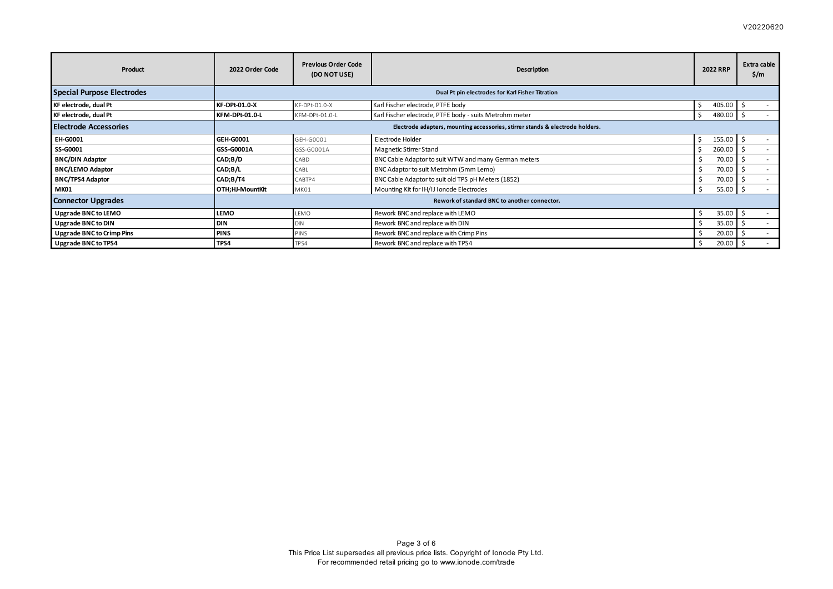## V20220620

| Product                           | 2022 Order Code      | <b>Previous Order Code</b><br>(DO NOT USE)                                    | Description                                             | <b>2022 RRP</b> | Extra cable<br>$\frac{2}{3}$ /m |  |  |
|-----------------------------------|----------------------|-------------------------------------------------------------------------------|---------------------------------------------------------|-----------------|---------------------------------|--|--|
| <b>Special Purpose Electrodes</b> |                      | Dual Pt pin electrodes for Karl Fisher Titration                              |                                                         |                 |                                 |  |  |
| KF electrode, dual Pt             | <b>KF-DPt-01.0-X</b> | KF-DPt-01.0-X                                                                 | Karl Fischer electrode, PTFE body                       | 405.00          |                                 |  |  |
| KF electrode, dual Pt             | KFM-DPt-01.0-L       | KFM-DPt-01.0-L                                                                | Karl Fischer electrode, PTFE body - suits Metrohm meter | 480.00<br>-S    |                                 |  |  |
| <b>Electrode Accessories</b>      |                      | Electrode adapters, mounting accessories, stirrer stands & electrode holders. |                                                         |                 |                                 |  |  |
| EH-G0001                          | <b>GEH-G0001</b>     | GEH-G0001                                                                     | Electrode Holder                                        | 155.00<br>-S    |                                 |  |  |
| SS-G0001                          | GSS-G0001A           | GSS-G0001A                                                                    | Magnetic Stirrer Stand                                  | 260.00          |                                 |  |  |
| <b>BNC/DIN Adaptor</b>            | CAD;B/D              | CABD                                                                          | BNC Cable Adaptor to suit WTW and many German meters    | 70.00           | $\sim$                          |  |  |
| <b>BNC/LEMO Adaptor</b>           | CAD;B/L              | CABL                                                                          | BNC Adaptor to suit Metrohm (5mm Lemo)                  | 70.00           |                                 |  |  |
| <b>BNC/TPS4 Adaptor</b>           | CAD;B/T4             | CABTP4                                                                        | BNC Cable Adaptor to suit old TPS pH Meters (1852)      | 70.00           | $\sim$                          |  |  |
| <b>MK01</b>                       | OTH;HJ-MountKit      | MK01                                                                          | Mounting Kit for IH/IJ Ionode Electrodes                | 55.00<br>-\$    | - 5                             |  |  |
| <b>Connector Upgrades</b>         |                      | Rework of standard BNC to another connector.                                  |                                                         |                 |                                 |  |  |
| Upgrade BNC to LEMO               | <b>LEMO</b>          | LEMO                                                                          | Rework BNC and replace with LEMO                        | 35.00<br>Ŝ      |                                 |  |  |
| Upgrade BNC to DIN                | DIN                  | <b>DIN</b>                                                                    | Rework BNC and replace with DIN                         | 35.00           |                                 |  |  |
| Upgrade BNC to Crimp Pins         | <b>PINS</b>          | PINS                                                                          | Rework BNC and replace with Crimp Pins                  | 20.00           |                                 |  |  |
| Upgrade BNC to TPS4               | TPS4                 | TP <sub>S4</sub>                                                              | Rework BNC and replace with TPS4                        | 20.00           |                                 |  |  |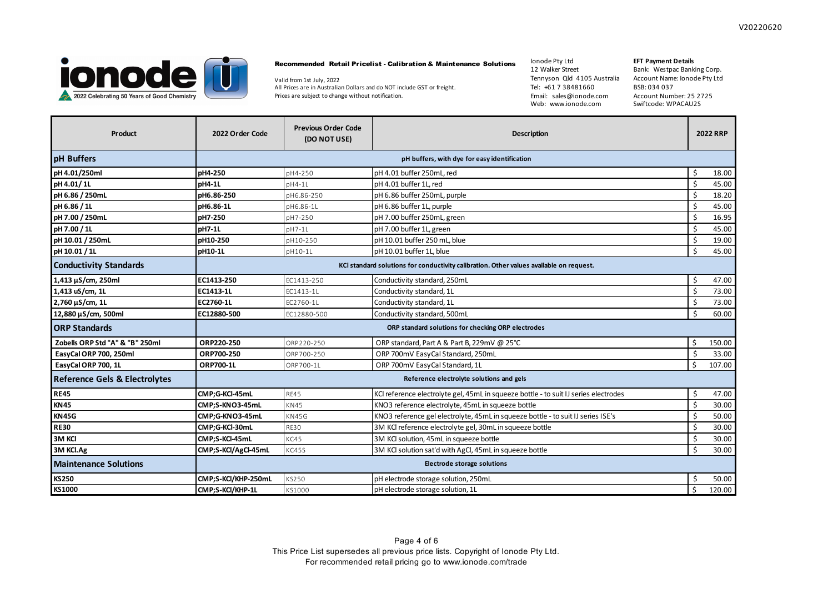

#### Recommended Retail Pricelist - Calibration & Maintenance Solutions

Valid from 1st July, 2022 All Prices are in Australian Dollars and do NOT include GST or freight. Prices are subject to change without notification.

Ionode Pty Ltd 12 Walker Street Tennyson Qld 4105 Australia Tel: +61 7 38481660 Email: sales@ionode.com Web: www.ionode.com

# **EFT Payment Details**

| <b>Product</b>                           | 2022 Order Code                          | <b>Previous Order Code</b><br>(DO NOT USE) | <b>Description</b>                                                                      |    | <b>2022 RRP</b> |
|------------------------------------------|------------------------------------------|--------------------------------------------|-----------------------------------------------------------------------------------------|----|-----------------|
| pH Buffers                               |                                          |                                            | pH buffers, with dye for easy identification                                            |    |                 |
| pH 4.01/250ml                            | pH4-250                                  | pH4-250                                    | pH 4.01 buffer 250mL, red                                                               | Ś. | 18.00           |
| pH 4.01/1L                               | pH4-1L                                   | $pH4-1L$                                   | pH 4.01 buffer 1L, red                                                                  | Ś  | 45.00           |
| pH 6.86 / 250mL                          | pH6.86-250                               | pH6.86-250                                 | pH 6.86 buffer 250mL, purple                                                            | Ś  | 18.20           |
| pH 6.86 / 1L                             | pH6.86-1L                                | pH6.86-1L                                  | pH 6.86 buffer 1L, purple                                                               | Ś  | 45.00           |
| pH 7.00 / 250mL                          | pH7-250                                  | pH7-250                                    | pH 7.00 buffer 250mL, green                                                             | Ś  | 16.95           |
| pH 7.00 / 1L                             | pH7-1L                                   | pH7-1L                                     | pH 7.00 buffer 1L, green                                                                |    | 45.00           |
| pH 10.01 / 250mL                         | pH10-250                                 | pH10-250                                   | pH 10.01 buffer 250 mL, blue                                                            | Ś  | 19.00           |
| pH 10.01 / 1L                            | pH10-1L                                  | pH10-1L                                    | pH 10.01 buffer 1L, blue                                                                | \$ | 45.00           |
| <b>Conductivity Standards</b>            |                                          |                                            | KCI standard solutions for conductivity calibration. Other values available on request. |    |                 |
| 1,413 µS/cm, 250ml                       | EC1413-250                               | EC1413-250                                 | Conductivity standard, 250mL                                                            | Ś  | 47.00           |
| 1,413 uS/cm, 1L                          | EC1413-1L                                | EC1413-1L                                  | Conductivity standard, 1L                                                               | Ś  | 73.00           |
| 2,760 µS/cm, 1L                          | EC2760-1L                                | EC2760-1L                                  | Conductivity standard, 1L                                                               | \$ | 73.00           |
| 12,880 µS/cm, 500ml                      | EC12880-500                              | EC12880-500                                | Conductivity standard, 500mL                                                            | Ś  | 60.00           |
| <b>ORP Standards</b>                     |                                          |                                            | ORP standard solutions for checking ORP electrodes                                      |    |                 |
| Zobells ORP Std "A" & "B" 250ml          | ORP220-250                               | ORP220-250                                 | ORP standard, Part A & Part B, 229mV @ 25°C                                             | \$ | 150.00          |
| EasyCal ORP 700, 250ml                   | ORP700-250                               | ORP700-250                                 | ORP 700mV EasyCal Standard, 250mL                                                       |    | 33.00           |
| EasyCal ORP 700, 1L                      | <b>ORP700-1L</b>                         | ORP700-1L                                  | ORP 700mV EasyCal Standard, 1L                                                          | \$ | 107.00          |
| <b>Reference Gels &amp; Electrolytes</b> | Reference electrolyte solutions and gels |                                            |                                                                                         |    |                 |
| <b>RE45</b>                              | CMP;G-KCl-45mL                           | <b>RE45</b>                                | KCI reference electrolyte gel, 45mL in squeeze bottle - to suit IJ series electrodes    | Ś  | 47.00           |
| <b>KN45</b>                              | CMP;S-KNO3-45mL                          | <b>KN45</b>                                | KNO3 reference electrolyte, 45mL in squeeze bottle                                      | Ś  | 30.00           |
| <b>KN45G</b>                             | CMP;G-KNO3-45mL                          | KN45G                                      | KNO3 reference gel electrolyte, 45mL in squeeze bottle - to suit IJ series ISE's        | \$ | 50.00           |
| <b>RE30</b>                              | CMP;G-KCl-30mL                           | <b>RE30</b>                                | 3M KCl reference electrolyte gel, 30mL in squeeze bottle                                | Ś  | 30.00           |
| 3M KCI                                   | CMP;S-KCl-45mL                           | KC45                                       | 3M KCI solution, 45mL in squeeze bottle                                                 |    | 30.00           |
| 3M KCl.Ag                                | CMP;S-KCl/AgCl-45mL                      | KC45S                                      | 3M KCl solution sat'd with AgCl, 45mL in squeeze bottle                                 | Ś. | 30.00           |
| <b>Maintenance Solutions</b>             | Electrode storage solutions              |                                            |                                                                                         |    |                 |
| <b>KS250</b>                             | CMP;S-KCl/KHP-250mL                      | KS250                                      | pH electrode storage solution, 250mL                                                    |    | 50.00           |
| KS1000                                   | CMP:S-KCl/KHP-1L                         | KS1000                                     | pH electrode storage solution, 1L                                                       | \$ | 120.00          |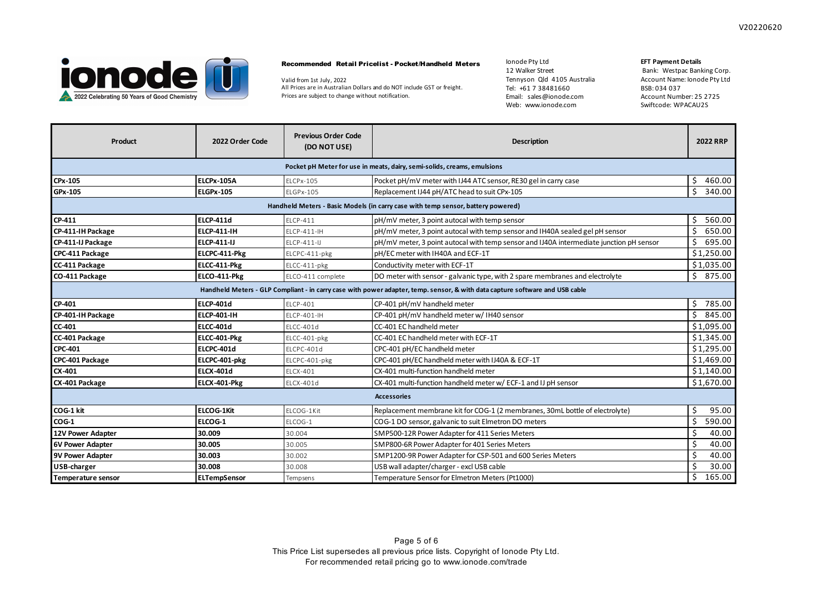

### Recommended Retail Pricelist - Pocket/Handheld Meters

Valid from 1st July, 2022 All Prices are in Australian Dollars and do NOT include GST or freight. Prices are subject to change without notification.

Ionode Pty Ltd 12 Walker Street Tennyson Qld 4105 Australia Tel: +61 7 38481660 Email: sales@ionode.com Web: www.ionode.com

### **EFT Payment Details**

| Product                                                                                                                      | 2022 Order Code                                                                  | <b>Previous Order Code</b><br>(DO NOT USE) | <b>Description</b>                                                                      | <b>2022 RRP</b> |  |  |  |  |
|------------------------------------------------------------------------------------------------------------------------------|----------------------------------------------------------------------------------|--------------------------------------------|-----------------------------------------------------------------------------------------|-----------------|--|--|--|--|
| Pocket pH Meter for use in meats, dairy, semi-solids, creams, emulsions                                                      |                                                                                  |                                            |                                                                                         |                 |  |  |  |  |
| CPx-105                                                                                                                      | <b>ELCPx-105A</b>                                                                | <b>ELCPx-105</b>                           | Pocket pH/mV meter with IJ44 ATC sensor, RE30 gel in carry case                         | \$<br>460.00    |  |  |  |  |
| GPx-105                                                                                                                      | <b>ELGPx-105</b>                                                                 | ELGPx-105                                  | Replacement IJ44 pH/ATC head to suit CPx-105                                            | \$<br>340.00    |  |  |  |  |
|                                                                                                                              | Handheld Meters - Basic Models (in carry case with temp sensor, battery powered) |                                            |                                                                                         |                 |  |  |  |  |
| CP-411                                                                                                                       | <b>ELCP-411d</b>                                                                 | ELCP-411                                   | pH/mV meter, 3 point autocal with temp sensor                                           | 560.00<br>Ś.    |  |  |  |  |
| CP-411-IH Package                                                                                                            | <b>ELCP-411-IH</b>                                                               | <b>ELCP-411-IH</b>                         | pH/mV meter, 3 point autocal with temp sensor and IH40A sealed gel pH sensor            | \$<br>650.00    |  |  |  |  |
| CP-411-IJ Package                                                                                                            | <b>ELCP-411-IJ</b>                                                               | ELCP-411-IJ                                | pH/mV meter, 3 point autocal with temp sensor and IJ40A intermediate junction pH sensor | \$<br>695.00    |  |  |  |  |
| CPC-411 Package                                                                                                              | ELCPC-411-Pkg                                                                    | ELCPC-411-pkg                              | pH/EC meter with IH40A and ECF-1T                                                       | \$1,250.00      |  |  |  |  |
| CC-411 Package                                                                                                               | ELCC-411-Pkg                                                                     | ELCC-411-pkg                               | Conductivity meter with ECF-1T                                                          | \$1,035.00      |  |  |  |  |
| CO-411 Package                                                                                                               | ELCO-411-Pkg                                                                     | ELCO-411 complete                          | DO meter with sensor - galvanic type, with 2 spare membranes and electrolyte            | \$875.00        |  |  |  |  |
| Handheld Meters - GLP Compliant - in carry case with power adapter, temp. sensor, & with data capture software and USB cable |                                                                                  |                                            |                                                                                         |                 |  |  |  |  |
| CP-401                                                                                                                       | <b>ELCP-401d</b>                                                                 | FLCP-401                                   | CP-401 pH/mV handheld meter                                                             | Ś.<br>785.00    |  |  |  |  |
| CP-401-IH Package                                                                                                            | <b>ELCP-401-IH</b>                                                               | ELCP-401-IH                                | CP-401 pH/mV handheld meter w/ IH40 sensor                                              | \$<br>845.00    |  |  |  |  |
| CC 401                                                                                                                       | <b>ELCC-401d</b>                                                                 | ELCC-401d                                  | CC-401 EC handheld meter                                                                | \$1,095.00      |  |  |  |  |
| CC-401 Package                                                                                                               | ELCC-401-Pkg                                                                     | ELCC-401-pkg                               | CC-401 EC handheld meter with ECF-1T                                                    | \$1,345.00      |  |  |  |  |
| <b>CPC-401</b>                                                                                                               | ELCPC-401d                                                                       | ELCPC-401d                                 | CPC-401 pH/EC handheld meter                                                            | \$1,295.00      |  |  |  |  |
| CPC-401 Package                                                                                                              | ELCPC-401-pkg                                                                    | ELCPC-401-pkg                              | CPC-401 pH/EC handheld meter with IJ40A & ECF-1T                                        | \$1,469.00      |  |  |  |  |
| CX-401                                                                                                                       | <b>ELCX-401d</b>                                                                 | <b>ELCX-401</b>                            | CX-401 multi-function handheld meter                                                    | \$1,140.00      |  |  |  |  |
| CX-401 Package                                                                                                               | ELCX-401-Pkg                                                                     | ELCX-401d                                  | CX-401 multi-function handheld meter w/ ECF-1 and IJ pH sensor                          | \$1,670.00      |  |  |  |  |
| <b>Accessories</b>                                                                                                           |                                                                                  |                                            |                                                                                         |                 |  |  |  |  |
| COG-1 kit                                                                                                                    | <b>ELCOG-1Kit</b>                                                                | ELCOG-1Kit                                 | Replacement membrane kit for COG-1 (2 membranes, 30mL bottle of electrolyte)            | \$<br>95.00     |  |  |  |  |
| $COG-1$                                                                                                                      | ELCOG-1                                                                          | ELCOG-1                                    | COG-1 DO sensor, galvanic to suit Elmetron DO meters                                    | \$<br>590.00    |  |  |  |  |
| 12V Power Adapter                                                                                                            | 30.009                                                                           | 30.004                                     | SMP500-12R Power Adapter for 411 Series Meters                                          | \$<br>40.00     |  |  |  |  |
| <b>6V Power Adapter</b>                                                                                                      | 30.005                                                                           | 30.005                                     | SMP800-6R Power Adapter for 401 Series Meters                                           | \$<br>40.00     |  |  |  |  |
| <b>9V Power Adapter</b>                                                                                                      | 30.003                                                                           | 30.002                                     | SMP1200-9R Power Adapter for CSP-501 and 600 Series Meters                              | \$<br>40.00     |  |  |  |  |
| USB-charger                                                                                                                  | 30.008                                                                           | 30.008                                     | USB wall adapter/charger - excl USB cable                                               | Ś.<br>30.00     |  |  |  |  |
| <b>Temperature sensor</b>                                                                                                    | <b>ELTempSensor</b>                                                              | Tempsens                                   | Temperature Sensor for Elmetron Meters (Pt1000)                                         | \$<br>165.00    |  |  |  |  |